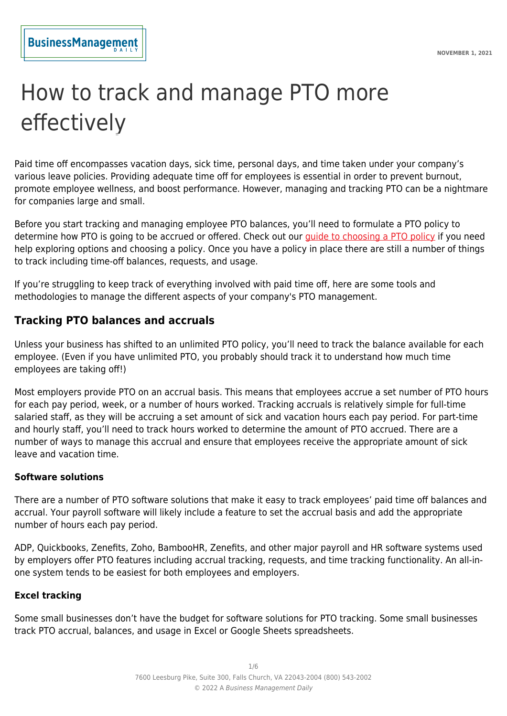# How to track and manage PTO more effectively

Paid time off encompasses vacation days, sick time, personal days, and time taken under your company's various leave policies. Providing adequate time off for employees is essential in order to prevent burnout, promote employee wellness, and boost performance. However, managing and tracking PTO can be a nightmare for companies large and small.

Before you start tracking and managing employee PTO balances, you'll need to formulate a PTO policy to determine how PTO is going to be accrued or offered. Check out our quide to choosing a PTO policy if you need help exploring options and choosing a policy. Once you have a policy in place there are still a number of things to track including time-off balances, requests, and usage.

If you're struggling to keep track of everything involved with paid time off, here are some tools and methodologies to manage the different aspects of your company's PTO management.

## **Tracking PTO balances and accruals**

Unless your business has shifted to an unlimited PTO policy, you'll need to track the balance available for each employee. (Even if you have unlimited PTO, you probably should track it to understand how much time employees are taking off!)

Most employers provide PTO on an accrual basis. This means that employees accrue a set number of PTO hours for each pay period, week, or a number of hours worked. Tracking accruals is relatively simple for full-time salaried staff, as they will be accruing a set amount of sick and vacation hours each pay period. For part-time and hourly staff, you'll need to track hours worked to determine the amount of PTO accrued. There are a number of ways to manage this accrual and ensure that employees receive the appropriate amount of sick leave and vacation time.

## **Software solutions**

There are a number of PTO software solutions that make it easy to track employees' paid time off balances and accrual. Your payroll software will likely include a feature to set the accrual basis and add the appropriate number of hours each pay period.

ADP, Quickbooks, Zenefits, Zoho, BambooHR, Zenefits, and other major payroll and HR software systems used by employers offer PTO features including accrual tracking, requests, and time tracking functionality. An all-inone system tends to be easiest for both employees and employers.

#### **Excel tracking**

Some small businesses don't have the budget for software solutions for PTO tracking. Some small businesses track PTO accrual, balances, and usage in Excel or Google Sheets spreadsheets.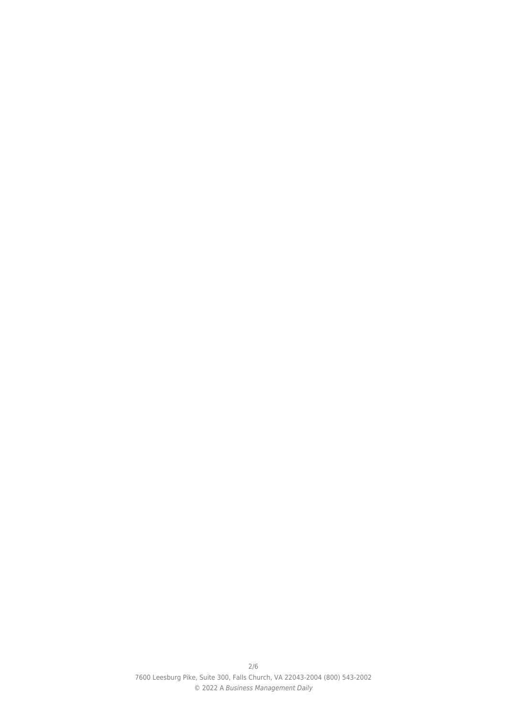2/6 7600 Leesburg Pike, Suite 300, Falls Church, VA 22043-2004 (800) 543-2002 © 2022 A Business Management Daily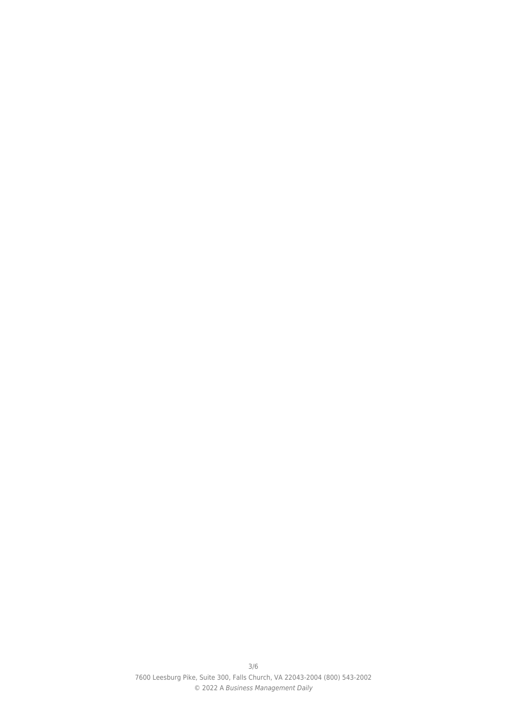3/6 7600 Leesburg Pike, Suite 300, Falls Church, VA 22043-2004 (800) 543-2002 © 2022 A Business Management Daily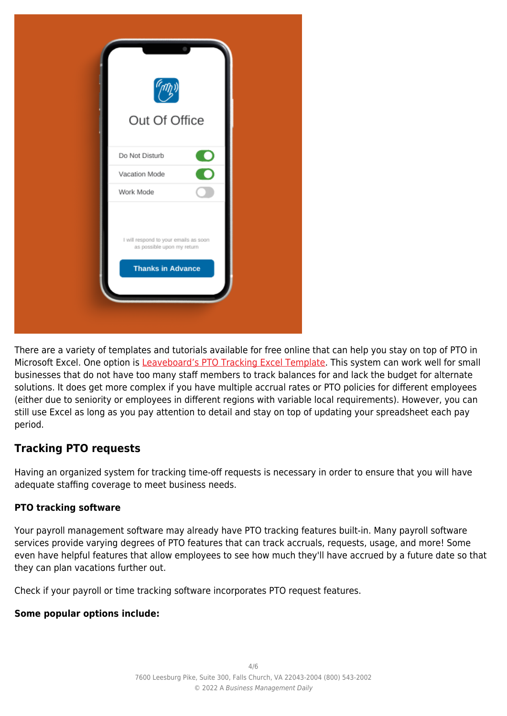

There are a variety of templates and tutorials available for free online that can help you stay on top of PTO in Microsoft Excel. One option is [Leaveboard's PTO Tracking Excel Template.](https://leaveboard.com/free-pto-tracker-template/) This system can work well for small businesses that do not have too many staff members to track balances for and lack the budget for alternate solutions. It does get more complex if you have multiple accrual rates or PTO policies for different employees (either due to seniority or employees in different regions with variable local requirements). However, you can still use Excel as long as you pay attention to detail and stay on top of updating your spreadsheet each pay period.

## **Tracking PTO requests**

Having an organized system for tracking time-off requests is necessary in order to ensure that you will have adequate staffing coverage to meet business needs.

## **PTO tracking software**

Your payroll management software may already have PTO tracking features built-in. Many payroll software services provide varying degrees of PTO features that can track accruals, requests, usage, and more! Some even have helpful features that allow employees to see how much they'll have accrued by a future date so that they can plan vacations further out.

Check if your payroll or time tracking software incorporates PTO request features.

#### **Some popular options include:**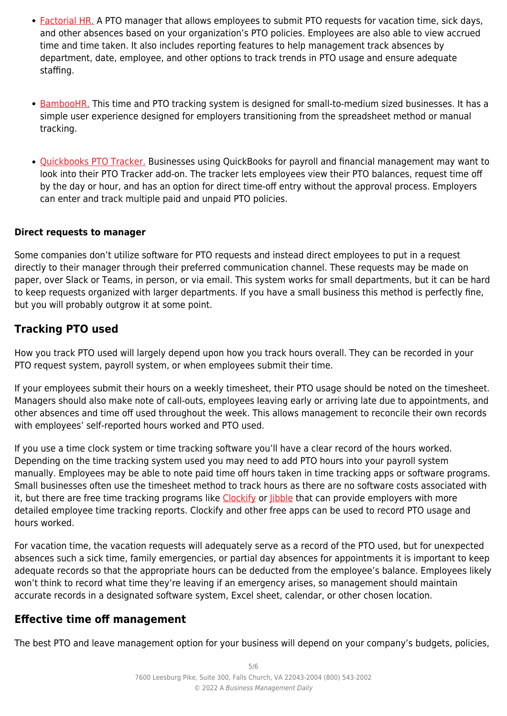- [Factorial HR.](https://factorialhr.com/holidays-leaves-software) A PTO manager that allows employees to submit PTO requests for vacation time, sick days, and other absences based on your organization's PTO policies. Employees are also able to view accrued time and time taken. It also includes reporting features to help management track absences by department, date, employee, and other options to track trends in PTO usage and ensure adequate staffing.
- [BambooHR.](https://www.bamboohr.com/) This time and PTO tracking system is designed for small-to-medium sized businesses. It has a simple user experience designed for employers transitioning from the spreadsheet method or manual tracking.
- [Quickbooks PTO Tracker.](https://quickbooks.intuit.com/time-tracking/pto-tracker/) Businesses using QuickBooks for payroll and financial management may want to look into their PTO Tracker add-on. The tracker lets employees view their PTO balances, request time off by the day or hour, and has an option for direct time-off entry without the approval process. Employers can enter and track multiple paid and unpaid PTO policies.

#### **Direct requests to manager**

Some companies don't utilize software for PTO requests and instead direct employees to put in a request directly to their manager through their preferred communication channel. These requests may be made on paper, over Slack or Teams, in person, or via email. This system works for small departments, but it can be hard to keep requests organized with larger departments. If you have a small business this method is perfectly fine, but you will probably outgrow it at some point.

# **Tracking PTO used**

How you track PTO used will largely depend upon how you track hours overall. They can be recorded in your PTO request system, payroll system, or when employees submit their time.

If your employees submit their hours on a weekly timesheet, their PTO usage should be noted on the timesheet. Managers should also make note of call-outs, employees leaving early or arriving late due to appointments, and other absences and time off used throughout the week. This allows management to reconcile their own records with employees' self-reported hours worked and PTO used.

If you use a time clock system or time tracking software you'll have a clear record of the hours worked. Depending on the time tracking system used you may need to add PTO hours into your payroll system manually. Employees may be able to note paid time off hours taken in time tracking apps or software programs. Small businesses often use the timesheet method to track hours as there are no software costs associated with it, but there are free time tracking programs like [Clockify](https://clockify.me/) or libble that can provide employers with more detailed employee time tracking reports. Clockify and other free apps can be used to record PTO usage and hours worked.

For vacation time, the vacation requests will adequately serve as a record of the PTO used, but for unexpected absences such a sick time, family emergencies, or partial day absences for appointments it is important to keep adequate records so that the appropriate hours can be deducted from the employee's balance. Employees likely won't think to record what time they're leaving if an emergency arises, so management should maintain accurate records in a designated software system, Excel sheet, calendar, or other chosen location.

## **Effective time off management**

The best PTO and leave management option for your business will depend on your company's budgets, policies,